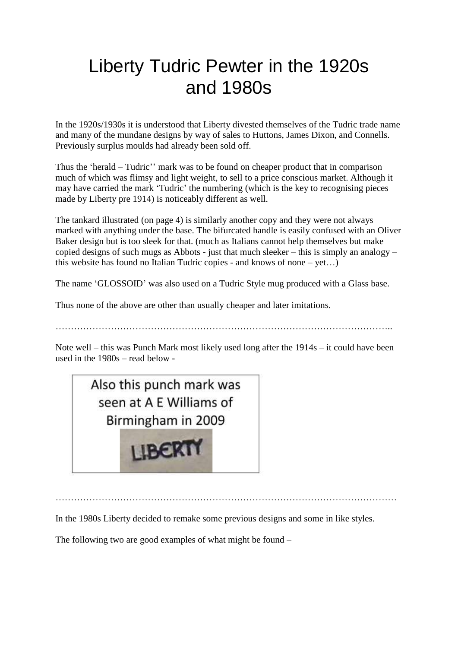## Liberty Tudric Pewter in the 1920s and 1980s

In the 1920s/1930s it is understood that Liberty divested themselves of the Tudric trade name and many of the mundane designs by way of sales to Huttons, James Dixon, and Connells. Previously surplus moulds had already been sold off.

Thus the 'herald – Tudric'' mark was to be found on cheaper product that in comparison much of which was flimsy and light weight, to sell to a price conscious market. Although it may have carried the mark 'Tudric' the numbering (which is the key to recognising pieces made by Liberty pre 1914) is noticeably different as well.

The tankard illustrated (on page 4) is similarly another copy and they were not always marked with anything under the base. The bifurcated handle is easily confused with an Oliver Baker design but is too sleek for that. (much as Italians cannot help themselves but make copied designs of such mugs as Abbots - just that much sleeker – this is simply an analogy – this website has found no Italian Tudric copies - and knows of none – yet…)

The name 'GLOSSOID' was also used on a Tudric Style mug produced with a Glass base.

Thus none of the above are other than usually cheaper and later imitations.

………………………………………………………………………………………………..

Note well – this was Punch Mark most likely used long after the 1914s – it could have been used in the 1980s – read below -



…………………………………………………………………………………………………

In the 1980s Liberty decided to remake some previous designs and some in like styles.

The following two are good examples of what might be found –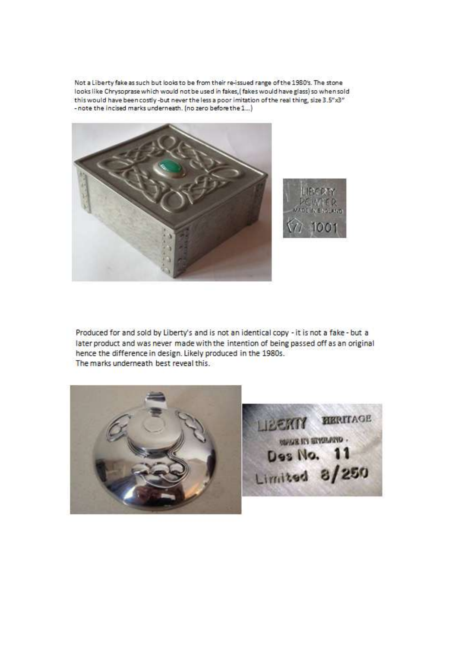Not a Liberty fake as such but looks to be from their re-issued range of the 1980's. The stone looks like Chrysoprase which would not be used in fakes, [fakes would have glass] so when sold this would have been costly-but never the less a poor imitation of the real thing, size 3.5"x3" - note the incised marks underneath. (no zero before the 1...)





Produced for and sold by Liberty's and is not an identical copy - it is not a fake - but a later product and was never made with the intention of being passed off as an original hence the difference in design. Likely produced in the 1980s. The marks underneath best reveal this.



**REMIX RENITAGE MARKET STEAMS .** Des No. 11 Limited 8/250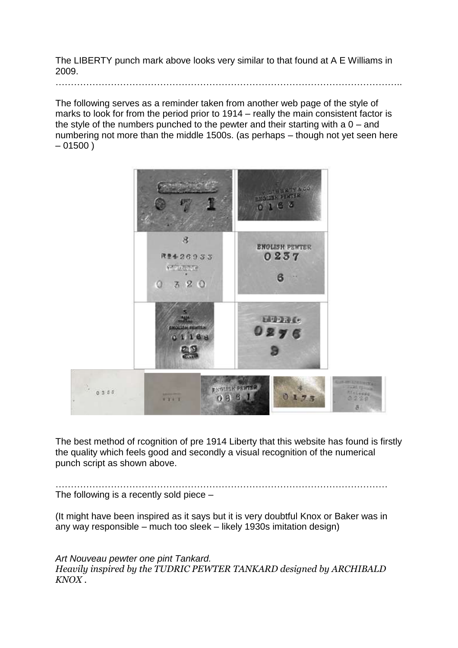The LIBERTY punch mark above looks very similar to that found at A E Williams in 2009.

…………………………………………………………………………………………………..

The following serves as a reminder taken from another web page of the style of marks to look for from the period prior to 1914 – really the main consistent factor is the style of the numbers punched to the pewter and their starting with a 0 – and numbering not more than the middle 1500s. (as perhaps – though not yet seen here  $-01500$ )



The best method of rcognition of pre 1914 Liberty that this website has found is firstly the quality which feels good and secondly a visual recognition of the numerical punch script as shown above.

……………………………………………………………………………………………… The following is a recently sold piece –

(It might have been inspired as it says but it is very doubtful Knox or Baker was in any way responsible – much too sleek – likely 1930s imitation design)

*Art Nouveau pewter one pint Tankard. Heavily inspired by the TUDRIC PEWTER TANKARD designed by ARCHIBALD KNOX .*